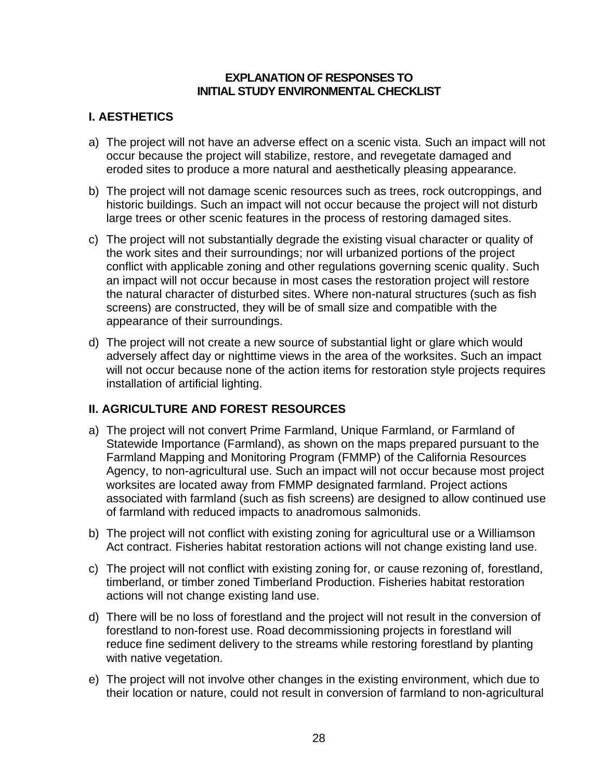#### **EXPLANATION OF RESPONSES TO INITIAL STUDY ENVIRONMENTAL CHECKLIST**

# **I. AESTHETICS**

- a) The project will not have an adverse effect on a scenic vista. Such an impact will not occur because the project will stabilize, restore, and revegetate damaged and eroded sites to produce a more natural and aesthetically pleasing appearance.
- b) The project will not damage scenic resources such as trees, rock outcroppings, and historic buildings. Such an impact will not occur because the project will not disturb large trees or other scenic features in the process of restoring damaged sites.
- c) The project will not substantially degrade the existing visual character or quality of the work sites and their surroundings; nor will urbanized portions of the project conflict with applicable zoning and other regulations governing scenic quality. Such an impact will not occur because in most cases the restoration project will restore the natural character of disturbed sites. Where non-natural structures (such as fish screens) are constructed, they will be of small size and compatible with the appearance of their surroundings.
- d) The project will not create a new source of substantial light or glare which would adversely affect day or nighttime views in the area of the worksites. Such an impact will not occur because none of the action items for restoration style projects requires installation of artificial lighting.

# **II. AGRICULTURE AND FOREST RESOURCES**

- a) The project will not convert Prime Farmland, Unique Farmland, or Farmland of Statewide Importance (Farmland), as shown on the maps prepared pursuant to the Farmland Mapping and Monitoring Program (FMMP) of the California Resources Agency, to non-agricultural use. Such an impact will not occur because most project worksites are located away from FMMP designated farmland. Project actions associated with farmland (such as fish screens) are designed to allow continued use of farmland with reduced impacts to anadromous salmonids.
- b) The project will not conflict with existing zoning for agricultural use or a Williamson Act contract. Fisheries habitat restoration actions will not change existing land use.
- c) The project will not conflict with existing zoning for, or cause rezoning of, forestland, timberland, or timber zoned Timberland Production. Fisheries habitat restoration actions will not change existing land use.
- d) There will be no loss of forestland and the project will not result in the conversion of forestland to non-forest use. Road decommissioning projects in forestland will reduce fine sediment delivery to the streams while restoring forestland by planting with native vegetation.
- e) The project will not involve other changes in the existing environment, which due to their location or nature, could not result in conversion of farmland to non-agricultural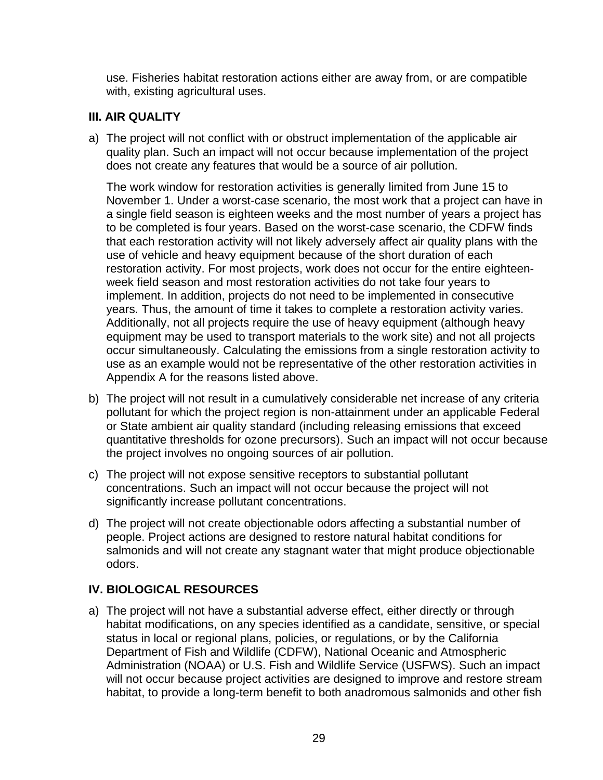use. Fisheries habitat restoration actions either are away from, or are compatible with, existing agricultural uses.

### **III. AIR QUALITY**

a) The project will not conflict with or obstruct implementation of the applicable air quality plan. Such an impact will not occur because implementation of the project does not create any features that would be a source of air pollution.

The work window for restoration activities is generally limited from June 15 to November 1. Under a worst-case scenario, the most work that a project can have in a single field season is eighteen weeks and the most number of years a project has to be completed is four years. Based on the worst-case scenario, the CDFW finds that each restoration activity will not likely adversely affect air quality plans with the use of vehicle and heavy equipment because of the short duration of each restoration activity. For most projects, work does not occur for the entire eighteenweek field season and most restoration activities do not take four years to implement. In addition, projects do not need to be implemented in consecutive years. Thus, the amount of time it takes to complete a restoration activity varies. Additionally, not all projects require the use of heavy equipment (although heavy equipment may be used to transport materials to the work site) and not all projects occur simultaneously. Calculating the emissions from a single restoration activity to use as an example would not be representative of the other restoration activities in Appendix A for the reasons listed above.

- b) The project will not result in a cumulatively considerable net increase of any criteria pollutant for which the project region is non-attainment under an applicable Federal or State ambient air quality standard (including releasing emissions that exceed quantitative thresholds for ozone precursors). Such an impact will not occur because the project involves no ongoing sources of air pollution.
- c) The project will not expose sensitive receptors to substantial pollutant concentrations. Such an impact will not occur because the project will not significantly increase pollutant concentrations.
- d) The project will not create objectionable odors affecting a substantial number of people. Project actions are designed to restore natural habitat conditions for salmonids and will not create any stagnant water that might produce objectionable odors.

# **IV. BIOLOGICAL RESOURCES**

a) The project will not have a substantial adverse effect, either directly or through habitat modifications, on any species identified as a candidate, sensitive, or special status in local or regional plans, policies, or regulations, or by the California Department of Fish and Wildlife (CDFW), National Oceanic and Atmospheric Administration (NOAA) or U.S. Fish and Wildlife Service (USFWS). Such an impact will not occur because project activities are designed to improve and restore stream habitat, to provide a long-term benefit to both anadromous salmonids and other fish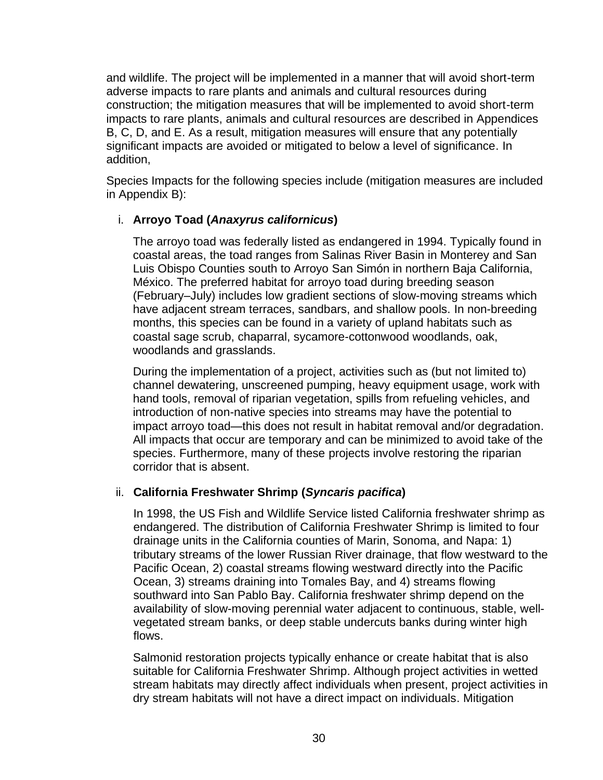and wildlife. The project will be implemented in a manner that will avoid short-term adverse impacts to rare plants and animals and cultural resources during construction; the mitigation measures that will be implemented to avoid short-term impacts to rare plants, animals and cultural resources are described in Appendices B, C, D, and E. As a result, mitigation measures will ensure that any potentially significant impacts are avoided or mitigated to below a level of significance. In addition,

Species Impacts for the following species include (mitigation measures are included in Appendix B):

### i. **Arroyo Toad (***Anaxyrus californicus***)**

The arroyo toad was federally listed as endangered in 1994. Typically found in coastal areas, the toad ranges from Salinas River Basin in Monterey and San Luis Obispo Counties south to Arroyo San Simón in northern Baja California, México. The preferred habitat for arroyo toad during breeding season (February–July) includes low gradient sections of slow-moving streams which have adjacent stream terraces, sandbars, and shallow pools. In non-breeding months, this species can be found in a variety of upland habitats such as coastal sage scrub, chaparral, sycamore-cottonwood woodlands, oak, woodlands and grasslands.

During the implementation of a project, activities such as (but not limited to) channel dewatering, unscreened pumping, heavy equipment usage, work with hand tools, removal of riparian vegetation, spills from refueling vehicles, and introduction of non-native species into streams may have the potential to impact arroyo toad—this does not result in habitat removal and/or degradation. All impacts that occur are temporary and can be minimized to avoid take of the species. Furthermore, many of these projects involve restoring the riparian corridor that is absent.

# ii. **California Freshwater Shrimp (***Syncaris pacifica***)**

In 1998, the US Fish and Wildlife Service listed California freshwater shrimp as endangered. The distribution of California Freshwater Shrimp is limited to four drainage units in the California counties of Marin, Sonoma, and Napa: 1) tributary streams of the lower Russian River drainage, that flow westward to the Pacific Ocean, 2) coastal streams flowing westward directly into the Pacific Ocean, 3) streams draining into Tomales Bay, and 4) streams flowing southward into San Pablo Bay. California freshwater shrimp depend on the availability of slow-moving perennial water adjacent to continuous, stable, wellvegetated stream banks, or deep stable undercuts banks during winter high flows.

Salmonid restoration projects typically enhance or create habitat that is also suitable for California Freshwater Shrimp. Although project activities in wetted stream habitats may directly affect individuals when present, project activities in dry stream habitats will not have a direct impact on individuals. Mitigation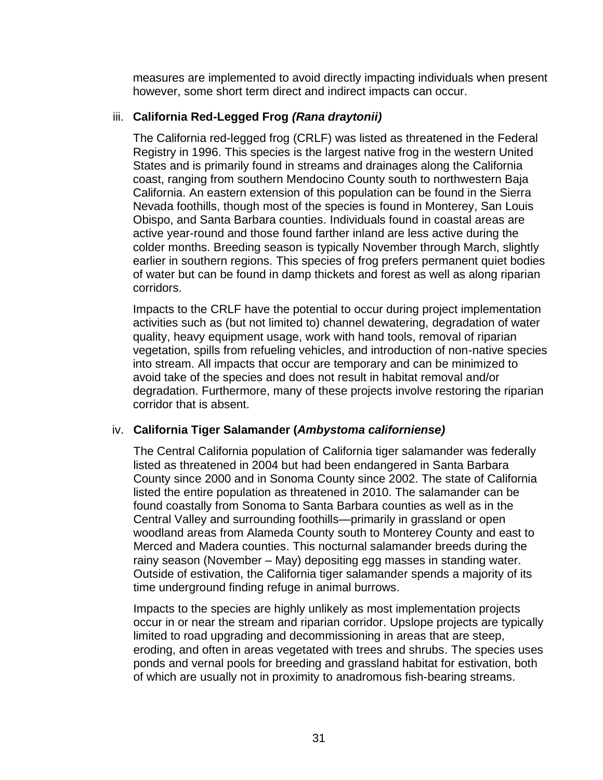measures are implemented to avoid directly impacting individuals when present however, some short term direct and indirect impacts can occur.

### iii. **California Red-Legged Frog** *(Rana draytonii)*

The California red-legged frog (CRLF) was listed as threatened in the Federal Registry in 1996. This species is the largest native frog in the western United States and is primarily found in streams and drainages along the California coast, ranging from southern Mendocino County south to northwestern Baja California. An eastern extension of this population can be found in the Sierra Nevada foothills, though most of the species is found in Monterey, San Louis Obispo, and Santa Barbara counties. Individuals found in coastal areas are active year-round and those found farther inland are less active during the colder months. Breeding season is typically November through March, slightly earlier in southern regions. This species of frog prefers permanent quiet bodies of water but can be found in damp thickets and forest as well as along riparian corridors.

Impacts to the CRLF have the potential to occur during project implementation activities such as (but not limited to) channel dewatering, degradation of water quality, heavy equipment usage, work with hand tools, removal of riparian vegetation, spills from refueling vehicles, and introduction of non-native species into stream. All impacts that occur are temporary and can be minimized to avoid take of the species and does not result in habitat removal and/or degradation. Furthermore, many of these projects involve restoring the riparian corridor that is absent.

#### iv. **California Tiger Salamander (***Ambystoma californiense)*

The Central California population of California tiger salamander was federally listed as threatened in 2004 but had been endangered in Santa Barbara County since 2000 and in Sonoma County since 2002. The state of California listed the entire population as threatened in 2010. The salamander can be found coastally from Sonoma to Santa Barbara counties as well as in the Central Valley and surrounding foothills—primarily in grassland or open woodland areas from Alameda County south to Monterey County and east to Merced and Madera counties. This nocturnal salamander breeds during the rainy season (November – May) depositing egg masses in standing water. Outside of estivation, the California tiger salamander spends a majority of its time underground finding refuge in animal burrows.

Impacts to the species are highly unlikely as most implementation projects occur in or near the stream and riparian corridor. Upslope projects are typically limited to road upgrading and decommissioning in areas that are steep, eroding, and often in areas vegetated with trees and shrubs. The species uses ponds and vernal pools for breeding and grassland habitat for estivation, both of which are usually not in proximity to anadromous fish-bearing streams.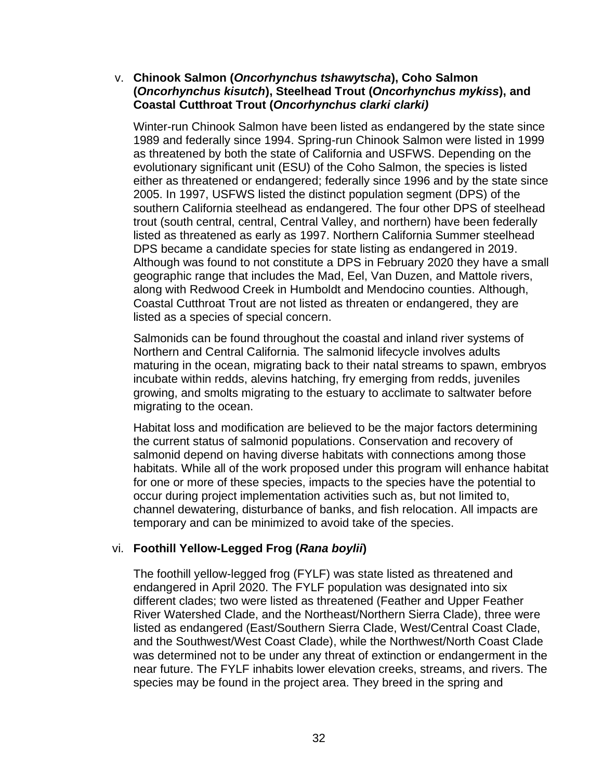#### v. **Chinook Salmon (***Oncorhynchus tshawytscha***), Coho Salmon (***Oncorhynchus kisutch***), Steelhead Trout (***Oncorhynchus mykiss***), and Coastal Cutthroat Trout (***Oncorhynchus clarki clarki)*

Winter-run Chinook Salmon have been listed as endangered by the state since 1989 and federally since 1994. Spring-run Chinook Salmon were listed in 1999 as threatened by both the state of California and USFWS. Depending on the evolutionary significant unit (ESU) of the Coho Salmon, the species is listed either as threatened or endangered; federally since 1996 and by the state since 2005. In 1997, USFWS listed the distinct population segment (DPS) of the southern California steelhead as endangered. The four other DPS of steelhead trout (south central, central, Central Valley, and northern) have been federally listed as threatened as early as 1997. Northern California Summer steelhead DPS became a candidate species for state listing as endangered in 2019. Although was found to not constitute a DPS in February 2020 they have a small geographic range that includes the Mad, Eel, Van Duzen, and Mattole rivers, along with Redwood Creek in Humboldt and Mendocino counties. Although, Coastal Cutthroat Trout are not listed as threaten or endangered, they are listed as a species of special concern.

Salmonids can be found throughout the coastal and inland river systems of Northern and Central California. The salmonid lifecycle involves adults maturing in the ocean, migrating back to their natal streams to spawn, embryos incubate within redds, alevins hatching, fry emerging from redds, juveniles growing, and smolts migrating to the estuary to acclimate to saltwater before migrating to the ocean.

Habitat loss and modification are believed to be the major factors determining the current status of salmonid populations. Conservation and recovery of salmonid depend on having diverse habitats with connections among those habitats. While all of the work proposed under this program will enhance habitat for one or more of these species, impacts to the species have the potential to occur during project implementation activities such as, but not limited to, channel dewatering, disturbance of banks, and fish relocation. All impacts are temporary and can be minimized to avoid take of the species.

# vi. **Foothill Yellow-Legged Frog (***Rana boylii***)**

The foothill yellow-legged frog (FYLF) was state listed as threatened and endangered in April 2020. The FYLF population was designated into six different clades; two were listed as threatened (Feather and Upper Feather River Watershed Clade, and the Northeast/Northern Sierra Clade), three were listed as endangered (East/Southern Sierra Clade, West/Central Coast Clade, and the Southwest/West Coast Clade), while the Northwest/North Coast Clade was determined not to be under any threat of extinction or endangerment in the near future. The FYLF inhabits lower elevation creeks, streams, and rivers. The species may be found in the project area. They breed in the spring and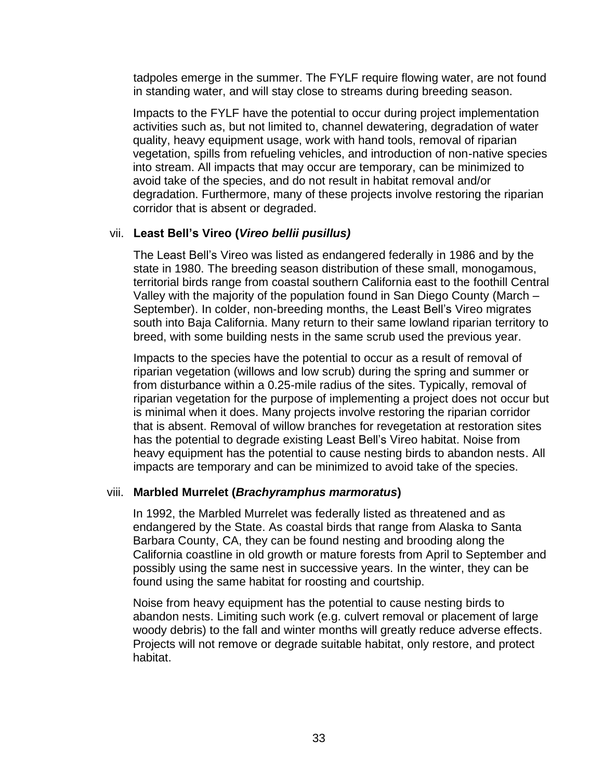tadpoles emerge in the summer. The FYLF require flowing water, are not found in standing water, and will stay close to streams during breeding season.

Impacts to the FYLF have the potential to occur during project implementation activities such as, but not limited to, channel dewatering, degradation of water quality, heavy equipment usage, work with hand tools, removal of riparian vegetation, spills from refueling vehicles, and introduction of non-native species into stream. All impacts that may occur are temporary, can be minimized to avoid take of the species, and do not result in habitat removal and/or degradation. Furthermore, many of these projects involve restoring the riparian corridor that is absent or degraded.

#### vii. **Least Bell's Vireo (***Vireo bellii pusillus)*

The Least Bell's Vireo was listed as endangered federally in 1986 and by the state in 1980. The breeding season distribution of these small, monogamous, territorial birds range from coastal southern California east to the foothill Central Valley with the majority of the population found in San Diego County (March – September). In colder, non-breeding months, the Least Bell's Vireo migrates south into Baja California. Many return to their same lowland riparian territory to breed, with some building nests in the same scrub used the previous year.

Impacts to the species have the potential to occur as a result of removal of riparian vegetation (willows and low scrub) during the spring and summer or from disturbance within a 0.25-mile radius of the sites. Typically, removal of riparian vegetation for the purpose of implementing a project does not occur but is minimal when it does. Many projects involve restoring the riparian corridor that is absent. Removal of willow branches for revegetation at restoration sites has the potential to degrade existing Least Bell's Vireo habitat. Noise from heavy equipment has the potential to cause nesting birds to abandon nests. All impacts are temporary and can be minimized to avoid take of the species.

#### viii. **Marbled Murrelet (***Brachyramphus marmoratus***)**

In 1992, the Marbled Murrelet was federally listed as threatened and as endangered by the State. As coastal birds that range from Alaska to Santa Barbara County, CA, they can be found nesting and brooding along the California coastline in old growth or mature forests from April to September and possibly using the same nest in successive years. In the winter, they can be found using the same habitat for roosting and courtship.

Noise from heavy equipment has the potential to cause nesting birds to abandon nests. Limiting such work (e.g. culvert removal or placement of large woody debris) to the fall and winter months will greatly reduce adverse effects. Projects will not remove or degrade suitable habitat, only restore, and protect habitat.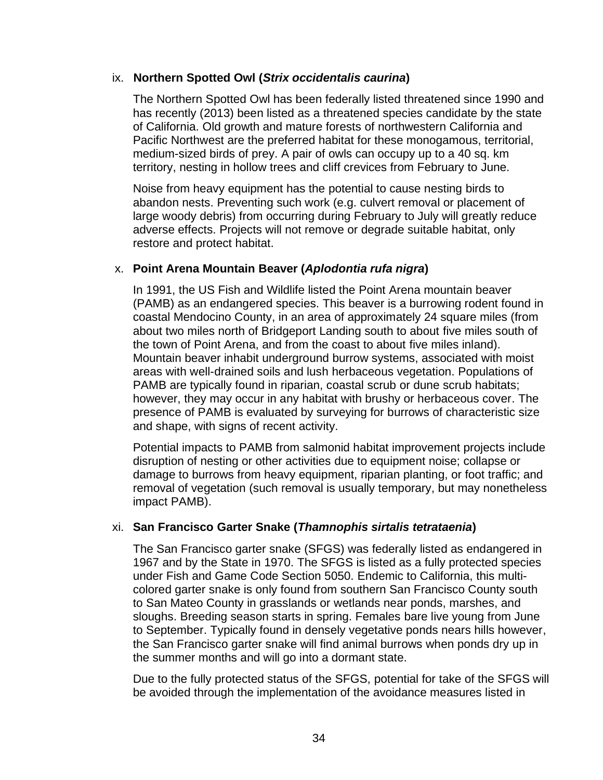#### ix. **Northern Spotted Owl (***Strix occidentalis caurina***)**

The Northern Spotted Owl has been federally listed threatened since 1990 and has recently (2013) been listed as a threatened species candidate by the state of California. Old growth and mature forests of northwestern California and Pacific Northwest are the preferred habitat for these monogamous, territorial, medium-sized birds of prey. A pair of owls can occupy up to a 40 sq. km territory, nesting in hollow trees and cliff crevices from February to June.

Noise from heavy equipment has the potential to cause nesting birds to abandon nests. Preventing such work (e.g. culvert removal or placement of large woody debris) from occurring during February to July will greatly reduce adverse effects. Projects will not remove or degrade suitable habitat, only restore and protect habitat.

#### x. **Point Arena Mountain Beaver (***Aplodontia rufa nigra***)**

In 1991, the US Fish and Wildlife listed the Point Arena mountain beaver (PAMB) as an endangered species. This beaver is a burrowing rodent found in coastal Mendocino County, in an area of approximately 24 square miles (from about two miles north of Bridgeport Landing south to about five miles south of the town of Point Arena, and from the coast to about five miles inland). Mountain beaver inhabit underground burrow systems, associated with moist areas with well-drained soils and lush herbaceous vegetation. Populations of PAMB are typically found in riparian, coastal scrub or dune scrub habitats; however, they may occur in any habitat with brushy or herbaceous cover. The presence of PAMB is evaluated by surveying for burrows of characteristic size and shape, with signs of recent activity.

Potential impacts to PAMB from salmonid habitat improvement projects include disruption of nesting or other activities due to equipment noise; collapse or damage to burrows from heavy equipment, riparian planting, or foot traffic; and removal of vegetation (such removal is usually temporary, but may nonetheless impact PAMB).

#### xi. **San Francisco Garter Snake (***Thamnophis sirtalis tetrataenia***)**

The San Francisco garter snake (SFGS) was federally listed as endangered in 1967 and by the State in 1970. The SFGS is listed as a fully protected species under Fish and Game Code Section 5050. Endemic to California, this multicolored garter snake is only found from southern San Francisco County south to San Mateo County in grasslands or wetlands near ponds, marshes, and sloughs. Breeding season starts in spring. Females bare live young from June to September. Typically found in densely vegetative ponds nears hills however, the San Francisco garter snake will find animal burrows when ponds dry up in the summer months and will go into a dormant state.

Due to the fully protected status of the SFGS, potential for take of the SFGS will be avoided through the implementation of the avoidance measures listed in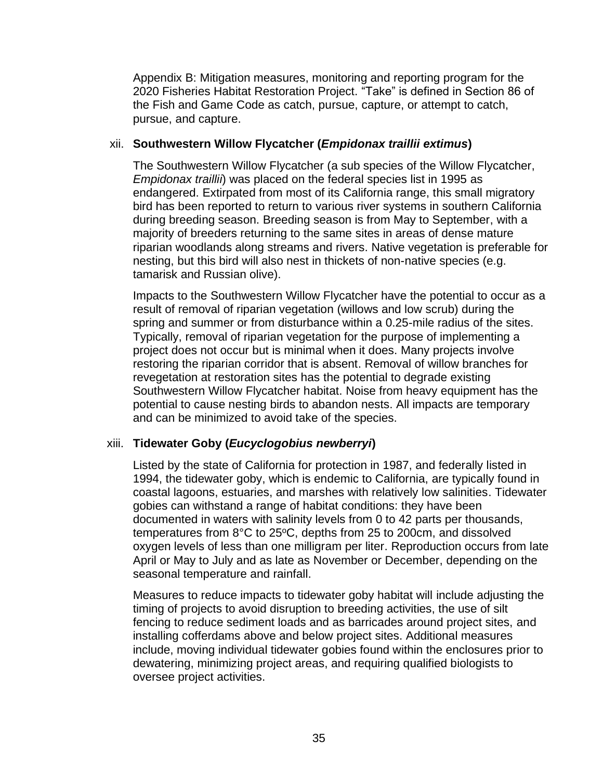Appendix B: Mitigation measures, monitoring and reporting program for the 2020 Fisheries Habitat Restoration Project. "Take" is defined in Section 86 of the Fish and Game Code as catch, pursue, capture, or attempt to catch, pursue, and capture.

#### xii. **Southwestern Willow Flycatcher (***Empidonax traillii extimus***)**

The Southwestern Willow Flycatcher (a sub species of the Willow Flycatcher, *Empidonax traillii*) was placed on the federal species list in 1995 as endangered. Extirpated from most of its California range, this small migratory bird has been reported to return to various river systems in southern California during breeding season. Breeding season is from May to September, with a majority of breeders returning to the same sites in areas of dense mature riparian woodlands along streams and rivers. Native vegetation is preferable for nesting, but this bird will also nest in thickets of non-native species (e.g. tamarisk and Russian olive).

Impacts to the Southwestern Willow Flycatcher have the potential to occur as a result of removal of riparian vegetation (willows and low scrub) during the spring and summer or from disturbance within a 0.25-mile radius of the sites. Typically, removal of riparian vegetation for the purpose of implementing a project does not occur but is minimal when it does. Many projects involve restoring the riparian corridor that is absent. Removal of willow branches for revegetation at restoration sites has the potential to degrade existing Southwestern Willow Flycatcher habitat. Noise from heavy equipment has the potential to cause nesting birds to abandon nests. All impacts are temporary and can be minimized to avoid take of the species.

#### xiii. **Tidewater Goby (***Eucyclogobius newberryi***)**

Listed by the state of California for protection in 1987, and federally listed in 1994, the tidewater goby, which is endemic to California, are typically found in coastal lagoons, estuaries, and marshes with relatively low salinities. Tidewater gobies can withstand a range of habitat conditions: they have been documented in waters with salinity levels from 0 to 42 parts per thousands, temperatures from 8°C to 25°C, depths from 25 to 200cm, and dissolved oxygen levels of less than one milligram per liter. Reproduction occurs from late April or May to July and as late as November or December, depending on the seasonal temperature and rainfall.

Measures to reduce impacts to tidewater goby habitat will include adjusting the timing of projects to avoid disruption to breeding activities, the use of silt fencing to reduce sediment loads and as barricades around project sites, and installing cofferdams above and below project sites. Additional measures include, moving individual tidewater gobies found within the enclosures prior to dewatering, minimizing project areas, and requiring qualified biologists to oversee project activities.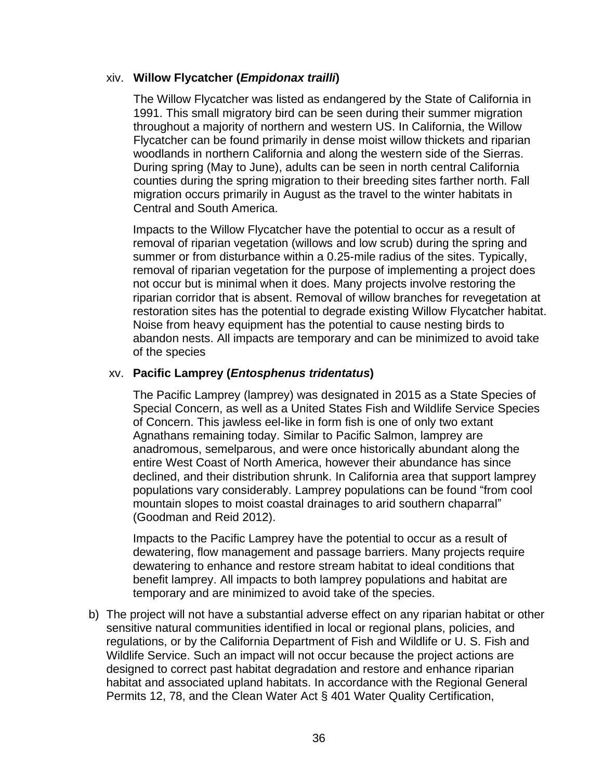#### xiv. **Willow Flycatcher (***Empidonax trailli***)**

The Willow Flycatcher was listed as endangered by the State of California in 1991. This small migratory bird can be seen during their summer migration throughout a majority of northern and western US. In California, the Willow Flycatcher can be found primarily in dense moist willow thickets and riparian woodlands in northern California and along the western side of the Sierras. During spring (May to June), adults can be seen in north central California counties during the spring migration to their breeding sites farther north. Fall migration occurs primarily in August as the travel to the winter habitats in Central and South America.

Impacts to the Willow Flycatcher have the potential to occur as a result of removal of riparian vegetation (willows and low scrub) during the spring and summer or from disturbance within a 0.25-mile radius of the sites. Typically, removal of riparian vegetation for the purpose of implementing a project does not occur but is minimal when it does. Many projects involve restoring the riparian corridor that is absent. Removal of willow branches for revegetation at restoration sites has the potential to degrade existing Willow Flycatcher habitat. Noise from heavy equipment has the potential to cause nesting birds to abandon nests. All impacts are temporary and can be minimized to avoid take of the species

#### xv. **Pacific Lamprey (***Entosphenus tridentatus***)**

The Pacific Lamprey (lamprey) was designated in 2015 as a State Species of Special Concern, as well as a United States Fish and Wildlife Service Species of Concern. This jawless eel-like in form fish is one of only two extant Agnathans remaining today. Similar to Pacific Salmon, lamprey are anadromous, semelparous, and were once historically abundant along the entire West Coast of North America, however their abundance has since declined, and their distribution shrunk. In California area that support lamprey populations vary considerably. Lamprey populations can be found "from cool mountain slopes to moist coastal drainages to arid southern chaparral" (Goodman and Reid 2012).

Impacts to the Pacific Lamprey have the potential to occur as a result of dewatering, flow management and passage barriers. Many projects require dewatering to enhance and restore stream habitat to ideal conditions that benefit lamprey. All impacts to both lamprey populations and habitat are temporary and are minimized to avoid take of the species.

b) The project will not have a substantial adverse effect on any riparian habitat or other sensitive natural communities identified in local or regional plans, policies, and regulations, or by the California Department of Fish and Wildlife or U. S. Fish and Wildlife Service. Such an impact will not occur because the project actions are designed to correct past habitat degradation and restore and enhance riparian habitat and associated upland habitats. In accordance with the Regional General Permits 12, 78, and the Clean Water Act § 401 Water Quality Certification,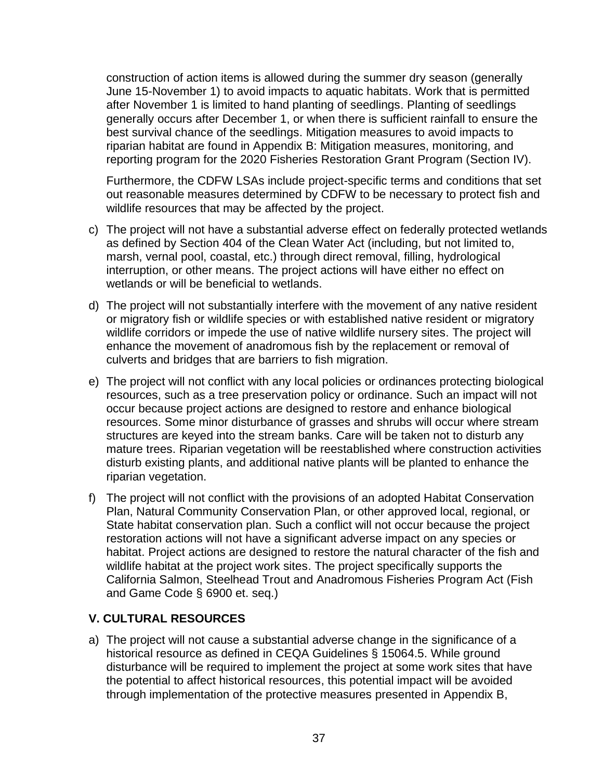construction of action items is allowed during the summer dry season (generally June 15-November 1) to avoid impacts to aquatic habitats. Work that is permitted after November 1 is limited to hand planting of seedlings. Planting of seedlings generally occurs after December 1, or when there is sufficient rainfall to ensure the best survival chance of the seedlings. Mitigation measures to avoid impacts to riparian habitat are found in Appendix B: Mitigation measures, monitoring, and reporting program for the 2020 Fisheries Restoration Grant Program (Section IV).

Furthermore, the CDFW LSAs include project-specific terms and conditions that set out reasonable measures determined by CDFW to be necessary to protect fish and wildlife resources that may be affected by the project.

- c) The project will not have a substantial adverse effect on federally protected wetlands as defined by Section 404 of the Clean Water Act (including, but not limited to, marsh, vernal pool, coastal, etc.) through direct removal, filling, hydrological interruption, or other means. The project actions will have either no effect on wetlands or will be beneficial to wetlands.
- d) The project will not substantially interfere with the movement of any native resident or migratory fish or wildlife species or with established native resident or migratory wildlife corridors or impede the use of native wildlife nursery sites. The project will enhance the movement of anadromous fish by the replacement or removal of culverts and bridges that are barriers to fish migration.
- e) The project will not conflict with any local policies or ordinances protecting biological resources, such as a tree preservation policy or ordinance. Such an impact will not occur because project actions are designed to restore and enhance biological resources. Some minor disturbance of grasses and shrubs will occur where stream structures are keyed into the stream banks. Care will be taken not to disturb any mature trees. Riparian vegetation will be reestablished where construction activities disturb existing plants, and additional native plants will be planted to enhance the riparian vegetation.
- f) The project will not conflict with the provisions of an adopted Habitat Conservation Plan, Natural Community Conservation Plan, or other approved local, regional, or State habitat conservation plan. Such a conflict will not occur because the project restoration actions will not have a significant adverse impact on any species or habitat. Project actions are designed to restore the natural character of the fish and wildlife habitat at the project work sites. The project specifically supports the California Salmon, Steelhead Trout and Anadromous Fisheries Program Act (Fish and Game Code § 6900 et. seq.)

# **V. CULTURAL RESOURCES**

a) The project will not cause a substantial adverse change in the significance of a historical resource as defined in CEQA Guidelines § 15064.5. While ground disturbance will be required to implement the project at some work sites that have the potential to affect historical resources, this potential impact will be avoided through implementation of the protective measures presented in Appendix B,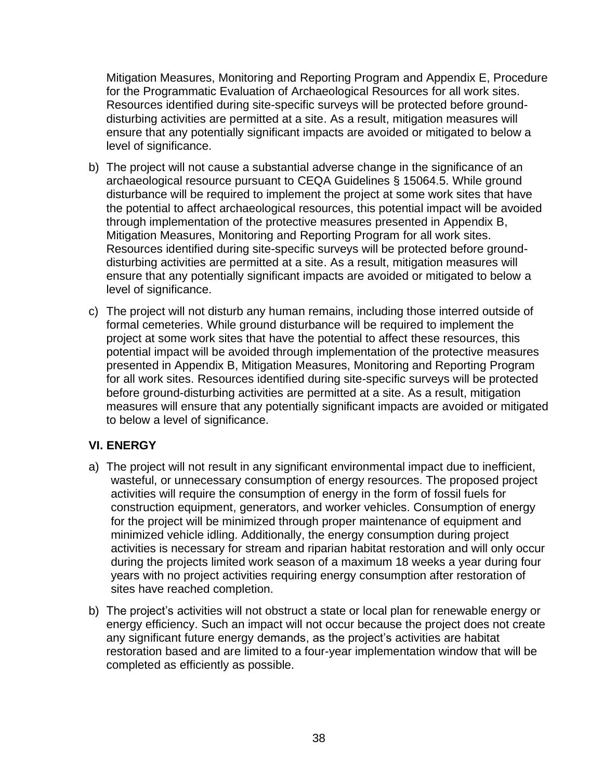Mitigation Measures, Monitoring and Reporting Program and Appendix E, Procedure for the Programmatic Evaluation of Archaeological Resources for all work sites. Resources identified during site-specific surveys will be protected before grounddisturbing activities are permitted at a site. As a result, mitigation measures will ensure that any potentially significant impacts are avoided or mitigated to below a level of significance.

- b) The project will not cause a substantial adverse change in the significance of an archaeological resource pursuant to CEQA Guidelines § 15064.5. While ground disturbance will be required to implement the project at some work sites that have the potential to affect archaeological resources, this potential impact will be avoided through implementation of the protective measures presented in Appendix B, Mitigation Measures, Monitoring and Reporting Program for all work sites. Resources identified during site-specific surveys will be protected before grounddisturbing activities are permitted at a site. As a result, mitigation measures will ensure that any potentially significant impacts are avoided or mitigated to below a level of significance.
- c) The project will not disturb any human remains, including those interred outside of formal cemeteries. While ground disturbance will be required to implement the project at some work sites that have the potential to affect these resources, this potential impact will be avoided through implementation of the protective measures presented in Appendix B, Mitigation Measures, Monitoring and Reporting Program for all work sites. Resources identified during site-specific surveys will be protected before ground-disturbing activities are permitted at a site. As a result, mitigation measures will ensure that any potentially significant impacts are avoided or mitigated to below a level of significance.

# **VI. ENERGY**

- a) The project will not result in any significant environmental impact due to inefficient, wasteful, or unnecessary consumption of energy resources. The proposed project activities will require the consumption of energy in the form of fossil fuels for construction equipment, generators, and worker vehicles. Consumption of energy for the project will be minimized through proper maintenance of equipment and minimized vehicle idling. Additionally, the energy consumption during project activities is necessary for stream and riparian habitat restoration and will only occur during the projects limited work season of a maximum 18 weeks a year during four years with no project activities requiring energy consumption after restoration of sites have reached completion.
- b) The project's activities will not obstruct a state or local plan for renewable energy or energy efficiency. Such an impact will not occur because the project does not create any significant future energy demands, as the project's activities are habitat restoration based and are limited to a four-year implementation window that will be completed as efficiently as possible.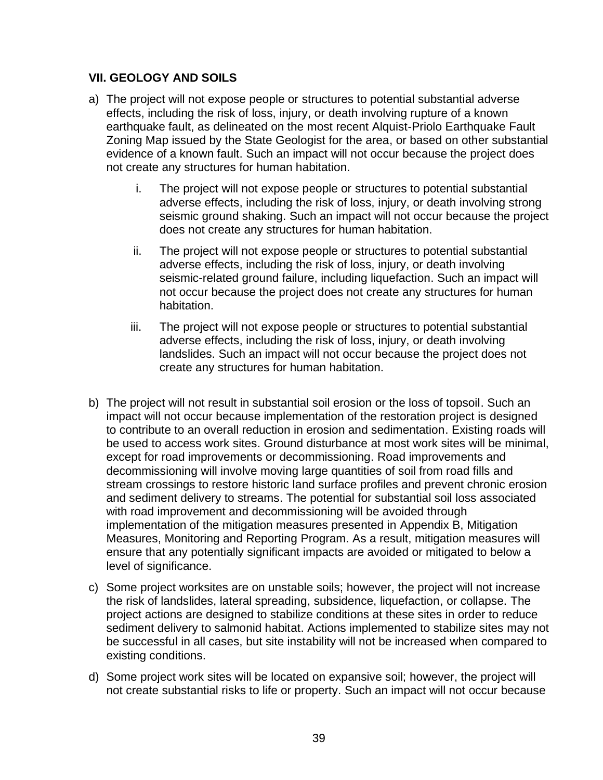### **VII. GEOLOGY AND SOILS**

- a) The project will not expose people or structures to potential substantial adverse effects, including the risk of loss, injury, or death involving rupture of a known earthquake fault, as delineated on the most recent Alquist-Priolo Earthquake Fault Zoning Map issued by the State Geologist for the area, or based on other substantial evidence of a known fault. Such an impact will not occur because the project does not create any structures for human habitation.
	- i. The project will not expose people or structures to potential substantial adverse effects, including the risk of loss, injury, or death involving strong seismic ground shaking. Such an impact will not occur because the project does not create any structures for human habitation.
	- ii. The project will not expose people or structures to potential substantial adverse effects, including the risk of loss, injury, or death involving seismic-related ground failure, including liquefaction. Such an impact will not occur because the project does not create any structures for human habitation.
	- iii. The project will not expose people or structures to potential substantial adverse effects, including the risk of loss, injury, or death involving landslides. Such an impact will not occur because the project does not create any structures for human habitation.
- b) The project will not result in substantial soil erosion or the loss of topsoil. Such an impact will not occur because implementation of the restoration project is designed to contribute to an overall reduction in erosion and sedimentation. Existing roads will be used to access work sites. Ground disturbance at most work sites will be minimal, except for road improvements or decommissioning. Road improvements and decommissioning will involve moving large quantities of soil from road fills and stream crossings to restore historic land surface profiles and prevent chronic erosion and sediment delivery to streams. The potential for substantial soil loss associated with road improvement and decommissioning will be avoided through implementation of the mitigation measures presented in Appendix B, Mitigation Measures, Monitoring and Reporting Program. As a result, mitigation measures will ensure that any potentially significant impacts are avoided or mitigated to below a level of significance.
- c) Some project worksites are on unstable soils; however, the project will not increase the risk of landslides, lateral spreading, subsidence, liquefaction, or collapse. The project actions are designed to stabilize conditions at these sites in order to reduce sediment delivery to salmonid habitat. Actions implemented to stabilize sites may not be successful in all cases, but site instability will not be increased when compared to existing conditions.
- d) Some project work sites will be located on expansive soil; however, the project will not create substantial risks to life or property. Such an impact will not occur because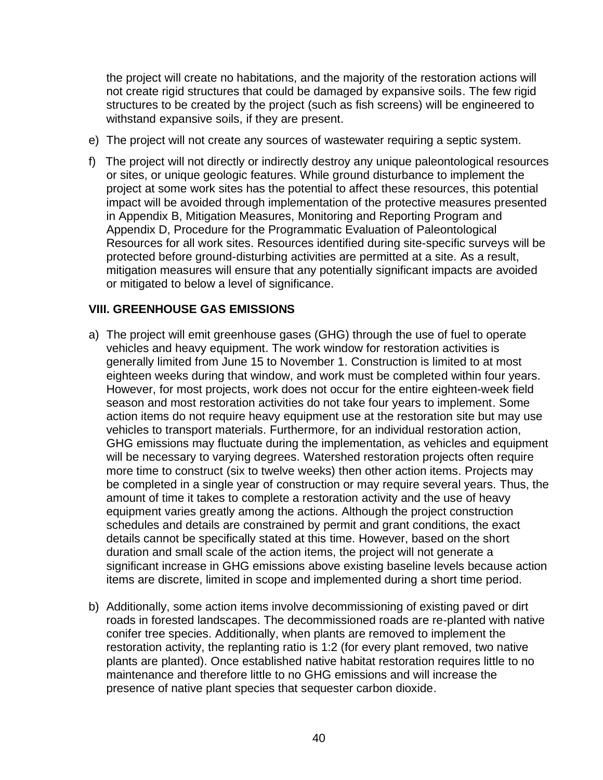the project will create no habitations, and the majority of the restoration actions will not create rigid structures that could be damaged by expansive soils. The few rigid structures to be created by the project (such as fish screens) will be engineered to withstand expansive soils, if they are present.

- e) The project will not create any sources of wastewater requiring a septic system.
- f) The project will not directly or indirectly destroy any unique paleontological resources or sites, or unique geologic features. While ground disturbance to implement the project at some work sites has the potential to affect these resources, this potential impact will be avoided through implementation of the protective measures presented in Appendix B, Mitigation Measures, Monitoring and Reporting Program and Appendix D, Procedure for the Programmatic Evaluation of Paleontological Resources for all work sites. Resources identified during site-specific surveys will be protected before ground-disturbing activities are permitted at a site. As a result, mitigation measures will ensure that any potentially significant impacts are avoided or mitigated to below a level of significance.

#### **VIII. GREENHOUSE GAS EMISSIONS**

- a) The project will emit greenhouse gases (GHG) through the use of fuel to operate vehicles and heavy equipment. The work window for restoration activities is generally limited from June 15 to November 1. Construction is limited to at most eighteen weeks during that window, and work must be completed within four years. However, for most projects, work does not occur for the entire eighteen-week field season and most restoration activities do not take four years to implement. Some action items do not require heavy equipment use at the restoration site but may use vehicles to transport materials. Furthermore, for an individual restoration action, GHG emissions may fluctuate during the implementation, as vehicles and equipment will be necessary to varying degrees. Watershed restoration projects often require more time to construct (six to twelve weeks) then other action items. Projects may be completed in a single year of construction or may require several years. Thus, the amount of time it takes to complete a restoration activity and the use of heavy equipment varies greatly among the actions. Although the project construction schedules and details are constrained by permit and grant conditions, the exact details cannot be specifically stated at this time. However, based on the short duration and small scale of the action items, the project will not generate a significant increase in GHG emissions above existing baseline levels because action items are discrete, limited in scope and implemented during a short time period.
- b) Additionally, some action items involve decommissioning of existing paved or dirt roads in forested landscapes. The decommissioned roads are re-planted with native conifer tree species. Additionally, when plants are removed to implement the restoration activity, the replanting ratio is 1:2 (for every plant removed, two native plants are planted). Once established native habitat restoration requires little to no maintenance and therefore little to no GHG emissions and will increase the presence of native plant species that sequester carbon dioxide.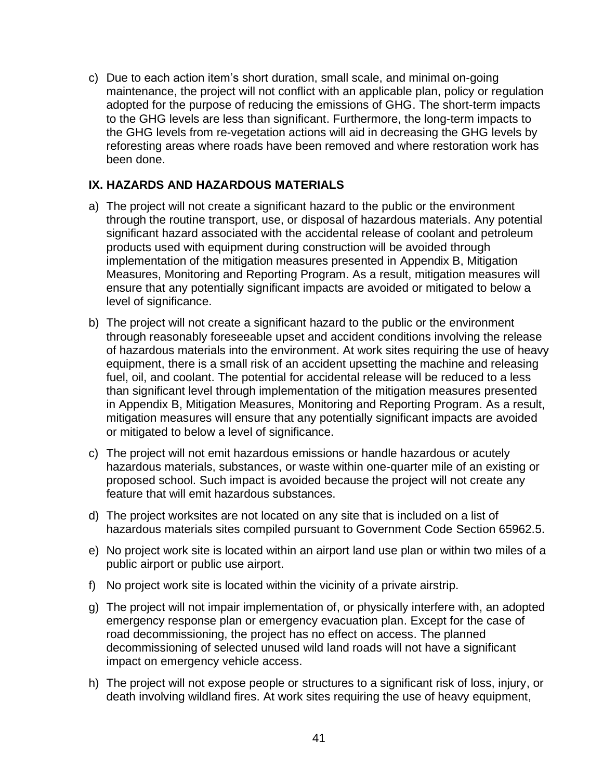c) Due to each action item's short duration, small scale, and minimal on-going maintenance, the project will not conflict with an applicable plan, policy or regulation adopted for the purpose of reducing the emissions of GHG. The short-term impacts to the GHG levels are less than significant. Furthermore, the long-term impacts to the GHG levels from re-vegetation actions will aid in decreasing the GHG levels by reforesting areas where roads have been removed and where restoration work has been done.

# **IX. HAZARDS AND HAZARDOUS MATERIALS**

- a) The project will not create a significant hazard to the public or the environment through the routine transport, use, or disposal of hazardous materials. Any potential significant hazard associated with the accidental release of coolant and petroleum products used with equipment during construction will be avoided through implementation of the mitigation measures presented in Appendix B, Mitigation Measures, Monitoring and Reporting Program. As a result, mitigation measures will ensure that any potentially significant impacts are avoided or mitigated to below a level of significance.
- b) The project will not create a significant hazard to the public or the environment through reasonably foreseeable upset and accident conditions involving the release of hazardous materials into the environment. At work sites requiring the use of heavy equipment, there is a small risk of an accident upsetting the machine and releasing fuel, oil, and coolant. The potential for accidental release will be reduced to a less than significant level through implementation of the mitigation measures presented in Appendix B, Mitigation Measures, Monitoring and Reporting Program. As a result, mitigation measures will ensure that any potentially significant impacts are avoided or mitigated to below a level of significance.
- c) The project will not emit hazardous emissions or handle hazardous or acutely hazardous materials, substances, or waste within one-quarter mile of an existing or proposed school. Such impact is avoided because the project will not create any feature that will emit hazardous substances.
- d) The project worksites are not located on any site that is included on a list of hazardous materials sites compiled pursuant to Government Code Section 65962.5.
- e) No project work site is located within an airport land use plan or within two miles of a public airport or public use airport.
- f) No project work site is located within the vicinity of a private airstrip.
- g) The project will not impair implementation of, or physically interfere with, an adopted emergency response plan or emergency evacuation plan. Except for the case of road decommissioning, the project has no effect on access. The planned decommissioning of selected unused wild land roads will not have a significant impact on emergency vehicle access.
- h) The project will not expose people or structures to a significant risk of loss, injury, or death involving wildland fires. At work sites requiring the use of heavy equipment,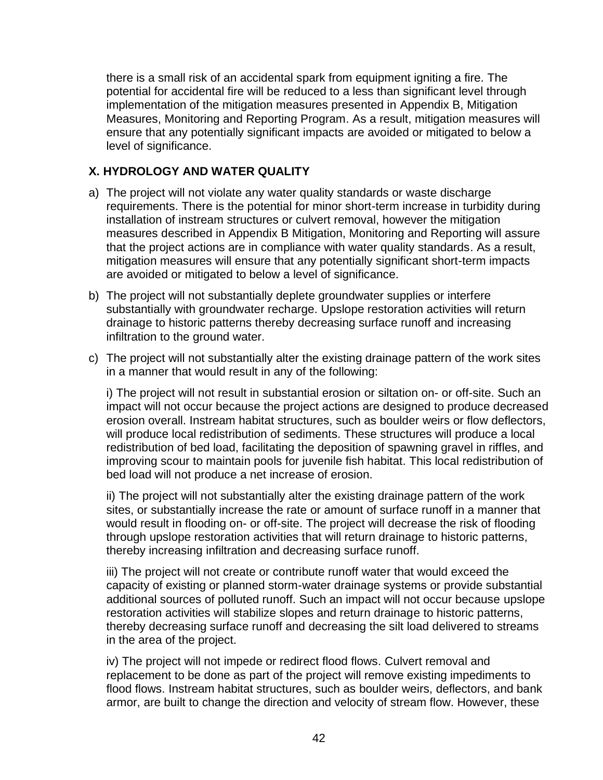there is a small risk of an accidental spark from equipment igniting a fire. The potential for accidental fire will be reduced to a less than significant level through implementation of the mitigation measures presented in Appendix B, Mitigation Measures, Monitoring and Reporting Program. As a result, mitigation measures will ensure that any potentially significant impacts are avoided or mitigated to below a level of significance.

# **X. HYDROLOGY AND WATER QUALITY**

- a) The project will not violate any water quality standards or waste discharge requirements. There is the potential for minor short-term increase in turbidity during installation of instream structures or culvert removal, however the mitigation measures described in Appendix B Mitigation, Monitoring and Reporting will assure that the project actions are in compliance with water quality standards. As a result, mitigation measures will ensure that any potentially significant short-term impacts are avoided or mitigated to below a level of significance.
- b) The project will not substantially deplete groundwater supplies or interfere substantially with groundwater recharge. Upslope restoration activities will return drainage to historic patterns thereby decreasing surface runoff and increasing infiltration to the ground water.
- c) The project will not substantially alter the existing drainage pattern of the work sites in a manner that would result in any of the following:

i) The project will not result in substantial erosion or siltation on- or off-site. Such an impact will not occur because the project actions are designed to produce decreased erosion overall. Instream habitat structures, such as boulder weirs or flow deflectors, will produce local redistribution of sediments. These structures will produce a local redistribution of bed load, facilitating the deposition of spawning gravel in riffles, and improving scour to maintain pools for juvenile fish habitat. This local redistribution of bed load will not produce a net increase of erosion.

ii) The project will not substantially alter the existing drainage pattern of the work sites, or substantially increase the rate or amount of surface runoff in a manner that would result in flooding on- or off-site. The project will decrease the risk of flooding through upslope restoration activities that will return drainage to historic patterns, thereby increasing infiltration and decreasing surface runoff.

iii) The project will not create or contribute runoff water that would exceed the capacity of existing or planned storm-water drainage systems or provide substantial additional sources of polluted runoff. Such an impact will not occur because upslope restoration activities will stabilize slopes and return drainage to historic patterns, thereby decreasing surface runoff and decreasing the silt load delivered to streams in the area of the project.

iv) The project will not impede or redirect flood flows. Culvert removal and replacement to be done as part of the project will remove existing impediments to flood flows. Instream habitat structures, such as boulder weirs, deflectors, and bank armor, are built to change the direction and velocity of stream flow. However, these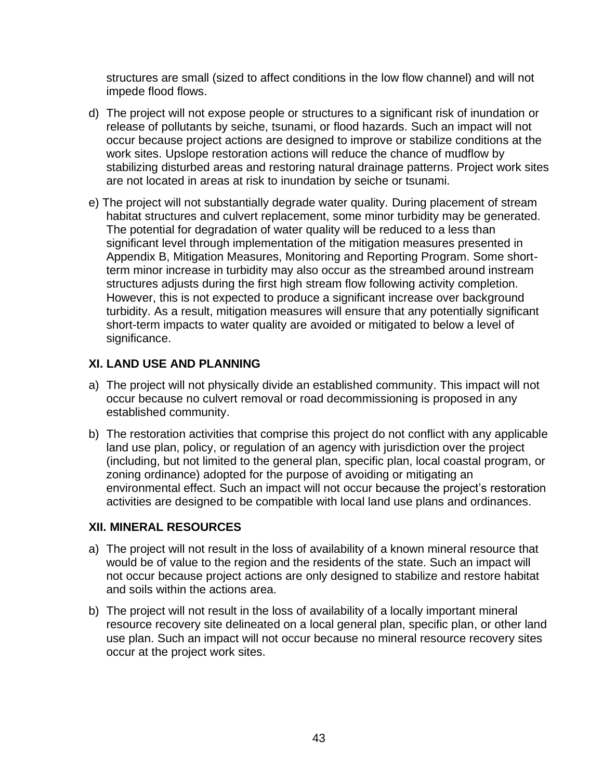structures are small (sized to affect conditions in the low flow channel) and will not impede flood flows.

- d) The project will not expose people or structures to a significant risk of inundation or release of pollutants by seiche, tsunami, or flood hazards. Such an impact will not occur because project actions are designed to improve or stabilize conditions at the work sites. Upslope restoration actions will reduce the chance of mudflow by stabilizing disturbed areas and restoring natural drainage patterns. Project work sites are not located in areas at risk to inundation by seiche or tsunami.
- e) The project will not substantially degrade water quality. During placement of stream habitat structures and culvert replacement, some minor turbidity may be generated. The potential for degradation of water quality will be reduced to a less than significant level through implementation of the mitigation measures presented in Appendix B, Mitigation Measures, Monitoring and Reporting Program. Some shortterm minor increase in turbidity may also occur as the streambed around instream structures adjusts during the first high stream flow following activity completion. However, this is not expected to produce a significant increase over background turbidity. As a result, mitigation measures will ensure that any potentially significant short-term impacts to water quality are avoided or mitigated to below a level of significance.

# **XI. LAND USE AND PLANNING**

- a) The project will not physically divide an established community. This impact will not occur because no culvert removal or road decommissioning is proposed in any established community.
- b) The restoration activities that comprise this project do not conflict with any applicable land use plan, policy, or regulation of an agency with jurisdiction over the project (including, but not limited to the general plan, specific plan, local coastal program, or zoning ordinance) adopted for the purpose of avoiding or mitigating an environmental effect. Such an impact will not occur because the project's restoration activities are designed to be compatible with local land use plans and ordinances.

#### **XII. MINERAL RESOURCES**

- a) The project will not result in the loss of availability of a known mineral resource that would be of value to the region and the residents of the state. Such an impact will not occur because project actions are only designed to stabilize and restore habitat and soils within the actions area.
- b) The project will not result in the loss of availability of a locally important mineral resource recovery site delineated on a local general plan, specific plan, or other land use plan. Such an impact will not occur because no mineral resource recovery sites occur at the project work sites.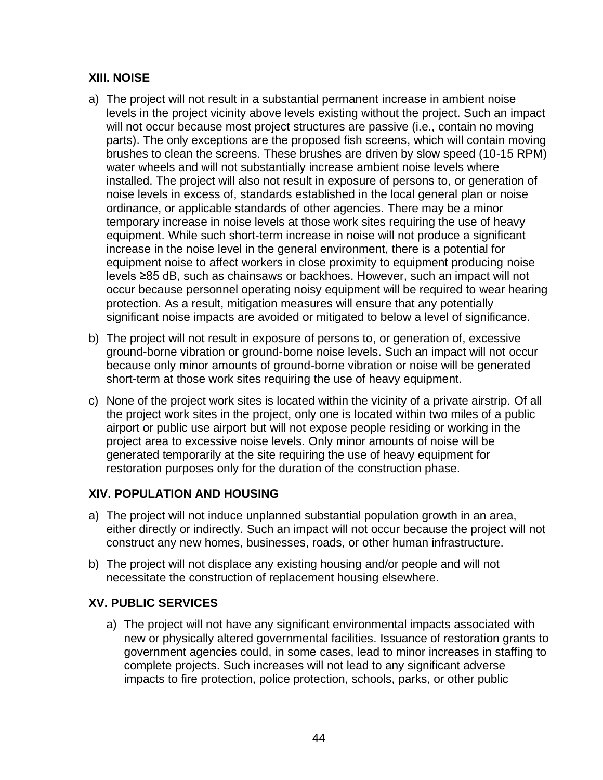# **XIII. NOISE**

- a) The project will not result in a substantial permanent increase in ambient noise levels in the project vicinity above levels existing without the project. Such an impact will not occur because most project structures are passive (i.e., contain no moving parts). The only exceptions are the proposed fish screens, which will contain moving brushes to clean the screens. These brushes are driven by slow speed (10-15 RPM) water wheels and will not substantially increase ambient noise levels where installed. The project will also not result in exposure of persons to, or generation of noise levels in excess of, standards established in the local general plan or noise ordinance, or applicable standards of other agencies. There may be a minor temporary increase in noise levels at those work sites requiring the use of heavy equipment. While such short-term increase in noise will not produce a significant increase in the noise level in the general environment, there is a potential for equipment noise to affect workers in close proximity to equipment producing noise levels ≥85 dB, such as chainsaws or backhoes. However, such an impact will not occur because personnel operating noisy equipment will be required to wear hearing protection. As a result, mitigation measures will ensure that any potentially significant noise impacts are avoided or mitigated to below a level of significance.
- b) The project will not result in exposure of persons to, or generation of, excessive ground-borne vibration or ground-borne noise levels. Such an impact will not occur because only minor amounts of ground-borne vibration or noise will be generated short-term at those work sites requiring the use of heavy equipment.
- c) None of the project work sites is located within the vicinity of a private airstrip. Of all the project work sites in the project, only one is located within two miles of a public airport or public use airport but will not expose people residing or working in the project area to excessive noise levels. Only minor amounts of noise will be generated temporarily at the site requiring the use of heavy equipment for restoration purposes only for the duration of the construction phase.

# **XIV. POPULATION AND HOUSING**

- a) The project will not induce unplanned substantial population growth in an area, either directly or indirectly. Such an impact will not occur because the project will not construct any new homes, businesses, roads, or other human infrastructure.
- b) The project will not displace any existing housing and/or people and will not necessitate the construction of replacement housing elsewhere.

# **XV. PUBLIC SERVICES**

a) The project will not have any significant environmental impacts associated with new or physically altered governmental facilities. Issuance of restoration grants to government agencies could, in some cases, lead to minor increases in staffing to complete projects. Such increases will not lead to any significant adverse impacts to fire protection, police protection, schools, parks, or other public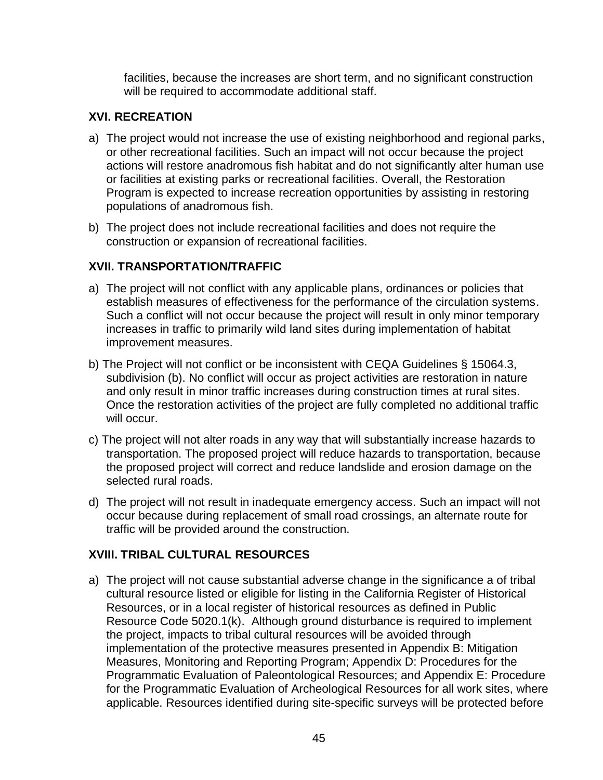facilities, because the increases are short term, and no significant construction will be required to accommodate additional staff.

# **XVI. RECREATION**

- a) The project would not increase the use of existing neighborhood and regional parks, or other recreational facilities. Such an impact will not occur because the project actions will restore anadromous fish habitat and do not significantly alter human use or facilities at existing parks or recreational facilities. Overall, the Restoration Program is expected to increase recreation opportunities by assisting in restoring populations of anadromous fish.
- b) The project does not include recreational facilities and does not require the construction or expansion of recreational facilities.

#### **XVII. TRANSPORTATION/TRAFFIC**

- a) The project will not conflict with any applicable plans, ordinances or policies that establish measures of effectiveness for the performance of the circulation systems. Such a conflict will not occur because the project will result in only minor temporary increases in traffic to primarily wild land sites during implementation of habitat improvement measures.
- b) The Project will not conflict or be inconsistent with CEQA Guidelines § 15064.3, subdivision (b). No conflict will occur as project activities are restoration in nature and only result in minor traffic increases during construction times at rural sites. Once the restoration activities of the project are fully completed no additional traffic will occur.
- c) The project will not alter roads in any way that will substantially increase hazards to transportation. The proposed project will reduce hazards to transportation, because the proposed project will correct and reduce landslide and erosion damage on the selected rural roads.
- d) The project will not result in inadequate emergency access. Such an impact will not occur because during replacement of small road crossings, an alternate route for traffic will be provided around the construction.

# **XVIII. TRIBAL CULTURAL RESOURCES**

a) The project will not cause substantial adverse change in the significance a of tribal cultural resource listed or eligible for listing in the California Register of Historical Resources, or in a local register of historical resources as defined in Public Resource Code 5020.1(k). Although ground disturbance is required to implement the project, impacts to tribal cultural resources will be avoided through implementation of the protective measures presented in Appendix B: Mitigation Measures, Monitoring and Reporting Program; Appendix D: Procedures for the Programmatic Evaluation of Paleontological Resources; and Appendix E: Procedure for the Programmatic Evaluation of Archeological Resources for all work sites, where applicable. Resources identified during site-specific surveys will be protected before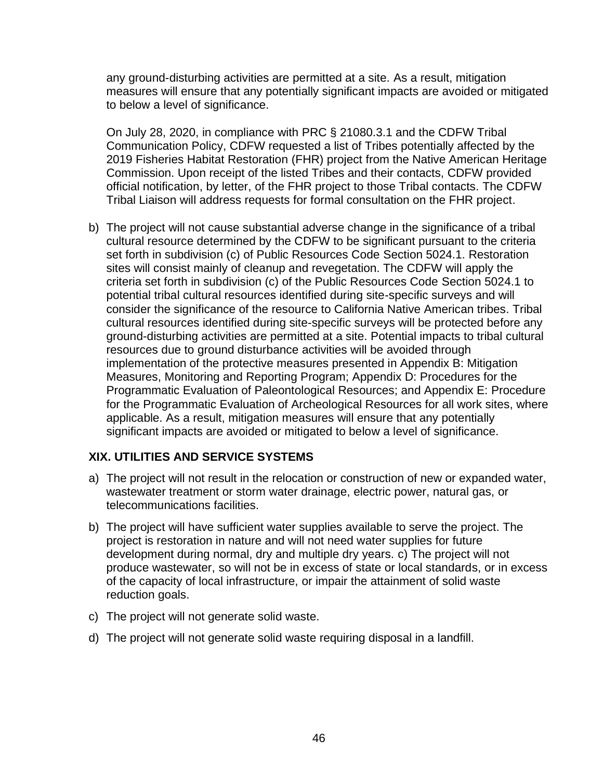any ground-disturbing activities are permitted at a site. As a result, mitigation measures will ensure that any potentially significant impacts are avoided or mitigated to below a level of significance.

On July 28, 2020, in compliance with PRC § 21080.3.1 and the CDFW Tribal Communication Policy, CDFW requested a list of Tribes potentially affected by the 2019 Fisheries Habitat Restoration (FHR) project from the Native American Heritage Commission. Upon receipt of the listed Tribes and their contacts, CDFW provided official notification, by letter, of the FHR project to those Tribal contacts. The CDFW Tribal Liaison will address requests for formal consultation on the FHR project.

b) The project will not cause substantial adverse change in the significance of a tribal cultural resource determined by the CDFW to be significant pursuant to the criteria set forth in subdivision (c) of Public Resources Code Section 5024.1. Restoration sites will consist mainly of cleanup and revegetation. The CDFW will apply the criteria set forth in subdivision (c) of the Public Resources Code Section 5024.1 to potential tribal cultural resources identified during site-specific surveys and will consider the significance of the resource to California Native American tribes. Tribal cultural resources identified during site-specific surveys will be protected before any ground-disturbing activities are permitted at a site. Potential impacts to tribal cultural resources due to ground disturbance activities will be avoided through implementation of the protective measures presented in Appendix B: Mitigation Measures, Monitoring and Reporting Program; Appendix D: Procedures for the Programmatic Evaluation of Paleontological Resources; and Appendix E: Procedure for the Programmatic Evaluation of Archeological Resources for all work sites, where applicable. As a result, mitigation measures will ensure that any potentially significant impacts are avoided or mitigated to below a level of significance.

# **XIX. UTILITIES AND SERVICE SYSTEMS**

- a) The project will not result in the relocation or construction of new or expanded water, wastewater treatment or storm water drainage, electric power, natural gas, or telecommunications facilities.
- b) The project will have sufficient water supplies available to serve the project. The project is restoration in nature and will not need water supplies for future development during normal, dry and multiple dry years. c) The project will not produce wastewater, so will not be in excess of state or local standards, or in excess of the capacity of local infrastructure, or impair the attainment of solid waste reduction goals.
- c) The project will not generate solid waste.
- d) The project will not generate solid waste requiring disposal in a landfill.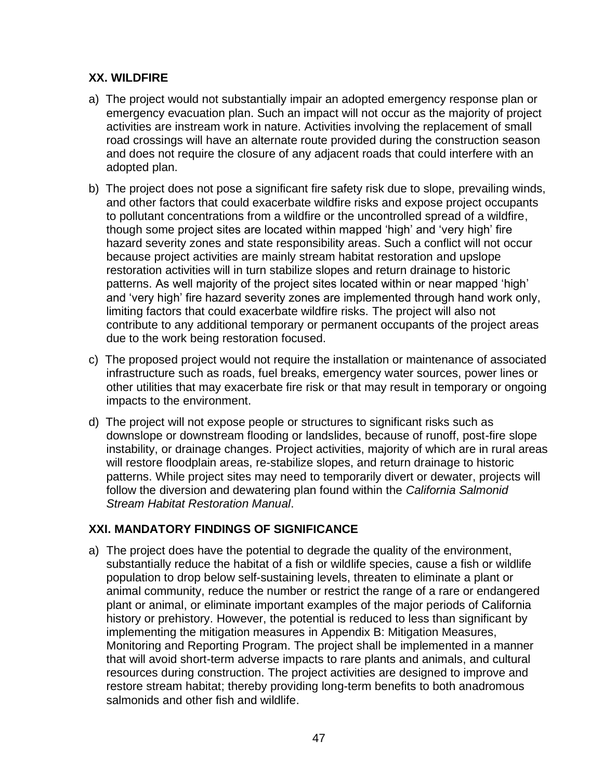# **XX. WILDFIRE**

- a) The project would not substantially impair an adopted emergency response plan or emergency evacuation plan. Such an impact will not occur as the majority of project activities are instream work in nature. Activities involving the replacement of small road crossings will have an alternate route provided during the construction season and does not require the closure of any adjacent roads that could interfere with an adopted plan.
- b) The project does not pose a significant fire safety risk due to slope, prevailing winds, and other factors that could exacerbate wildfire risks and expose project occupants to pollutant concentrations from a wildfire or the uncontrolled spread of a wildfire, though some project sites are located within mapped 'high' and 'very high' fire hazard severity zones and state responsibility areas. Such a conflict will not occur because project activities are mainly stream habitat restoration and upslope restoration activities will in turn stabilize slopes and return drainage to historic patterns. As well majority of the project sites located within or near mapped 'high' and 'very high' fire hazard severity zones are implemented through hand work only, limiting factors that could exacerbate wildfire risks. The project will also not contribute to any additional temporary or permanent occupants of the project areas due to the work being restoration focused.
- c) The proposed project would not require the installation or maintenance of associated infrastructure such as roads, fuel breaks, emergency water sources, power lines or other utilities that may exacerbate fire risk or that may result in temporary or ongoing impacts to the environment.
- d) The project will not expose people or structures to significant risks such as downslope or downstream flooding or landslides, because of runoff, post-fire slope instability, or drainage changes. Project activities, majority of which are in rural areas will restore floodplain areas, re-stabilize slopes, and return drainage to historic patterns. While project sites may need to temporarily divert or dewater, projects will follow the diversion and dewatering plan found within the *California Salmonid Stream Habitat Restoration Manual*.

# **XXI. MANDATORY FINDINGS OF SIGNIFICANCE**

a) The project does have the potential to degrade the quality of the environment, substantially reduce the habitat of a fish or wildlife species, cause a fish or wildlife population to drop below self-sustaining levels, threaten to eliminate a plant or animal community, reduce the number or restrict the range of a rare or endangered plant or animal, or eliminate important examples of the major periods of California history or prehistory. However, the potential is reduced to less than significant by implementing the mitigation measures in Appendix B: Mitigation Measures, Monitoring and Reporting Program. The project shall be implemented in a manner that will avoid short-term adverse impacts to rare plants and animals, and cultural resources during construction. The project activities are designed to improve and restore stream habitat; thereby providing long-term benefits to both anadromous salmonids and other fish and wildlife.